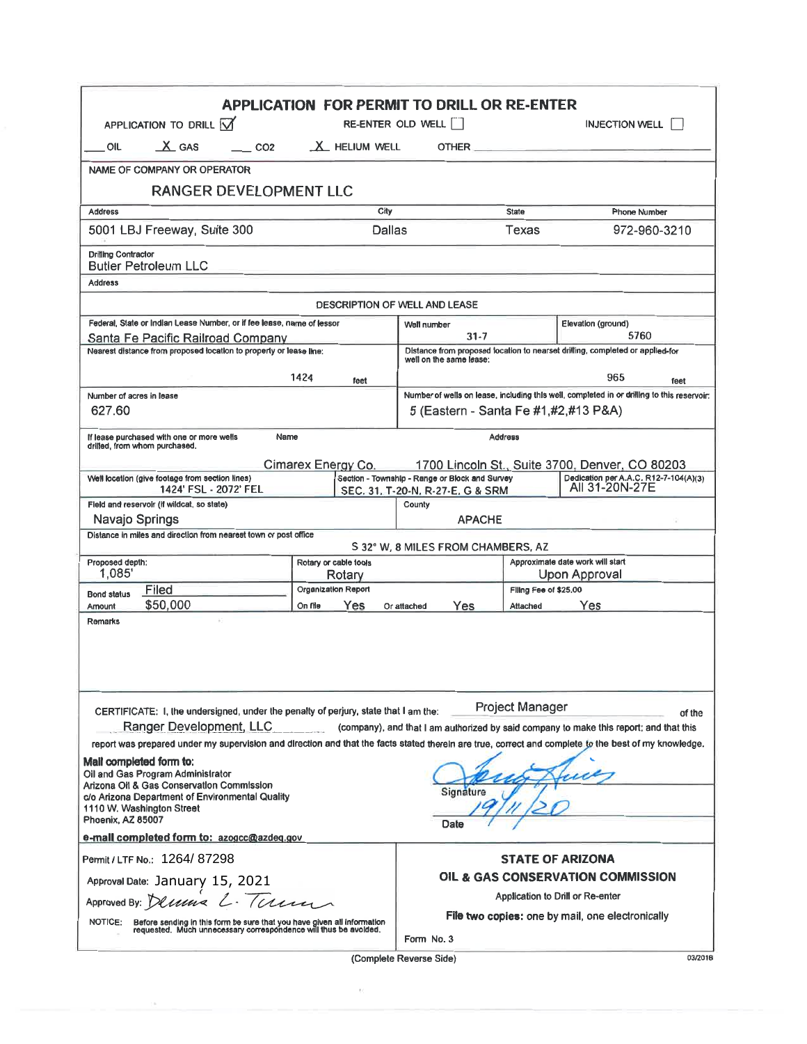| <b>APPLICATION FOR PERMIT TO DRILL OR RE-ENTER</b>                                                                                                                                                                                  |                 |                                 |                                                                                                                                                                                                                                      |                       |                                                         |
|-------------------------------------------------------------------------------------------------------------------------------------------------------------------------------------------------------------------------------------|-----------------|---------------------------------|--------------------------------------------------------------------------------------------------------------------------------------------------------------------------------------------------------------------------------------|-----------------------|---------------------------------------------------------|
| APPLICATION TO DRILL V                                                                                                                                                                                                              |                 | RE-ENTER OLD WELL               |                                                                                                                                                                                                                                      | <b>INJECTION WELL</b> |                                                         |
| $X$ GAS<br>OIL                                                                                                                                                                                                                      | CO <sub>2</sub> | X HELIUM WELL                   | OTHER <b>Andrew Contract Contract Contract Contract Contract Contract Contract Contract Contract Contract Contract Contract Contract Contract Contract Contract Contract Contract Contract Contract Contract Contract Contract C</b> |                       |                                                         |
| NAME OF COMPANY OR OPERATOR                                                                                                                                                                                                         |                 |                                 |                                                                                                                                                                                                                                      |                       |                                                         |
| RANGER DEVELOPMENT LLC                                                                                                                                                                                                              |                 |                                 |                                                                                                                                                                                                                                      |                       |                                                         |
| City<br><b>Address</b>                                                                                                                                                                                                              |                 |                                 |                                                                                                                                                                                                                                      | <b>State</b>          | <b>Phone Number</b>                                     |
| 5001 LBJ Freeway, Suite 300<br>Dallas                                                                                                                                                                                               |                 |                                 |                                                                                                                                                                                                                                      | Texas                 | 972-960-3210                                            |
| <b>Drilling Contractor</b><br><b>Butler Petroleum LLC</b>                                                                                                                                                                           |                 |                                 |                                                                                                                                                                                                                                      |                       |                                                         |
| <b>Address</b>                                                                                                                                                                                                                      |                 |                                 |                                                                                                                                                                                                                                      |                       |                                                         |
| <b>DESCRIPTION OF WELL AND LEASE</b>                                                                                                                                                                                                |                 |                                 |                                                                                                                                                                                                                                      |                       |                                                         |
| Federal, State or Indian Lease Number, or if fee lease, name of lessor<br>Santa Fe Pacific Railroad Company                                                                                                                         |                 |                                 | Well number<br>31-7                                                                                                                                                                                                                  |                       | Elevation (ground)<br>5760                              |
| Nearest distance from proposed location to property or lease line:                                                                                                                                                                  |                 |                                 | Distance from proposed location to nearset drilling, completed or applied-for<br>well on the same lease:                                                                                                                             |                       |                                                         |
| 1424<br>feet                                                                                                                                                                                                                        |                 |                                 | 965<br>feet                                                                                                                                                                                                                          |                       |                                                         |
| Number of acres in lease                                                                                                                                                                                                            |                 |                                 | Number of wells on lease, including this well, completed in or drilling to this reservoir:                                                                                                                                           |                       |                                                         |
| 627.60                                                                                                                                                                                                                              |                 |                                 | 5 (Eastern - Santa Fe #1,#2,#13 P&A)                                                                                                                                                                                                 |                       |                                                         |
| If lease purchased with one or more wells<br>Name<br>drilled, from whom purchased.                                                                                                                                                  |                 |                                 | <b>Address</b>                                                                                                                                                                                                                       |                       |                                                         |
| Cimarex Energy Co.<br>1700 Lincoln St., Suite 3700, Denver, CO 80203                                                                                                                                                                |                 |                                 |                                                                                                                                                                                                                                      |                       |                                                         |
| Well location (give footage from section lines)<br>1424' FSL - 2072' FEL                                                                                                                                                            |                 |                                 | Section - Township - Range or Block and Survey<br>SEC. 31, T-20-N, R-27-E, G & SRM                                                                                                                                                   |                       | Dedication per A.A.C. R12-7-104(A)(3)<br>All 31-20N-27E |
| Fleid and reservoir (if wildcat, so state)<br>County                                                                                                                                                                                |                 |                                 |                                                                                                                                                                                                                                      |                       |                                                         |
| Navajo Springs<br><b>APACHE</b>                                                                                                                                                                                                     |                 |                                 |                                                                                                                                                                                                                                      |                       |                                                         |
| Distance in miles and direction from nearest town or post office<br>S 32° W, 8 MILES FROM CHAMBERS, AZ                                                                                                                              |                 |                                 |                                                                                                                                                                                                                                      |                       |                                                         |
| Proposed depth:<br>1.085                                                                                                                                                                                                            |                 | Rotary or cable tools<br>Rotary | Approximate date work will start<br>Upon Approval                                                                                                                                                                                    |                       |                                                         |
| Filed<br><b>Bond status</b>                                                                                                                                                                                                         |                 | Organization Report             | Filing Fee of \$25,00                                                                                                                                                                                                                |                       |                                                         |
| \$50,000<br><b>Amount</b>                                                                                                                                                                                                           | On file         | Yes                             | Yes<br>Or attached                                                                                                                                                                                                                   | Attached              | Yes                                                     |
| <b>Remarks</b>                                                                                                                                                                                                                      |                 |                                 |                                                                                                                                                                                                                                      |                       |                                                         |
| Project Manager<br>CERTIFICATE: I, the undersigned, under the penalty of perjury, state that I am the:<br>of the                                                                                                                    |                 |                                 |                                                                                                                                                                                                                                      |                       |                                                         |
| Ranger Development, LLC<br>(company), and that I am authorized by said company to make this report; and that this                                                                                                                   |                 |                                 |                                                                                                                                                                                                                                      |                       |                                                         |
| report was prepared under my supervision and direction and that the facts stated therein are true, correct and complete to the best of my knowledge.                                                                                |                 |                                 |                                                                                                                                                                                                                                      |                       |                                                         |
| Mail completed form to:<br>Oil and Gas Program Administrator<br>Arizona Oil & Gas Conservation Commission<br>Signature<br>c/o Arizona Department of Environmental Quality<br>1110 W. Washington Street<br>Phoenix, AZ 85007<br>Date |                 |                                 |                                                                                                                                                                                                                                      |                       |                                                         |
| e-mall completed form to: azogcc@azdeg.gov                                                                                                                                                                                          |                 |                                 |                                                                                                                                                                                                                                      |                       |                                                         |
| Permit / LTF No.: 1264/87298                                                                                                                                                                                                        |                 |                                 | <b>STATE OF ARIZONA</b>                                                                                                                                                                                                              |                       |                                                         |
| Approval Date: January 15, 2021                                                                                                                                                                                                     |                 |                                 | OIL & GAS CONSERVATION COMMISSION                                                                                                                                                                                                    |                       |                                                         |
| Approved By: Demine L. Tamm                                                                                                                                                                                                         |                 |                                 | Application to Drill or Re-enter                                                                                                                                                                                                     |                       |                                                         |
| <b>NOTICE:</b><br>Before sending in this form be sure that you have given all information<br>requested. Much unnecessary correspondence will thus be avoided.                                                                       |                 |                                 | File two copies: one by mail, one electronically<br>Form No. 3                                                                                                                                                                       |                       |                                                         |
|                                                                                                                                                                                                                                     |                 |                                 |                                                                                                                                                                                                                                      |                       |                                                         |

(Complete Reverse Side)

 $\mathcal{M}$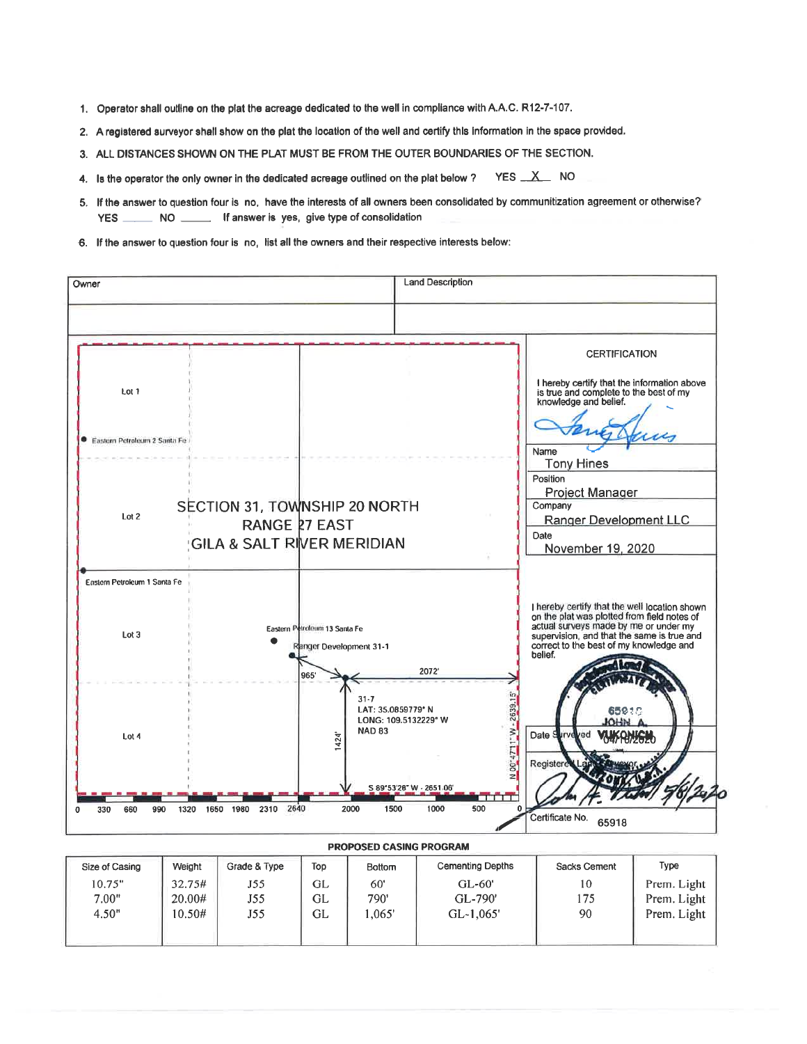- 1. Operator shall outline on the plat the acreage dedicated to the well in compliance with A.A.C. R12-7-107.
- 2. A registered surveyor shall show on the plat the location of the well and certify this information in the space provided.
- 3. ALL DISTANCES SHOWN ON THE PLAT MUST BE FROM THE OUTER BOUNDARIES OF THE SECTION.
- 4. Is the operator the only owner in the dedicated acreage outlined on the plat below ? YES X NO
- 5. If the answer to question four is no, have the interests of all owners been consolidated by communitization agreement or otherwise? NO \_\_\_\_\_\_\_ If answer is yes, give type of consolidation **YES**
- 6. If the answer to question four is no, list all the owners and their respective interests below: